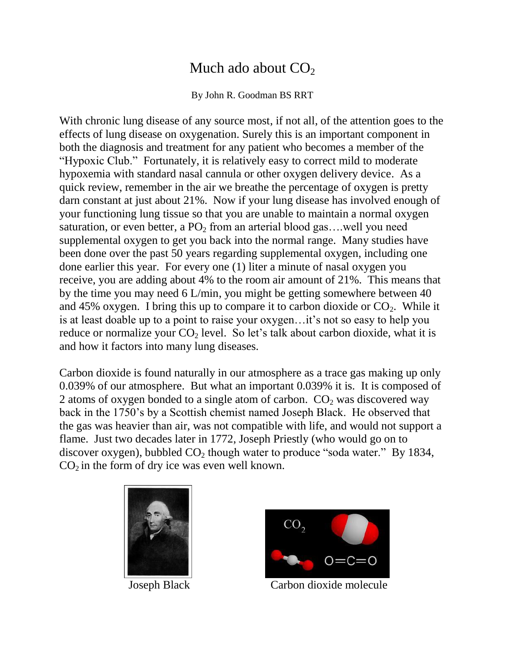## Much ado about  $CO<sub>2</sub>$

## By John R. Goodman BS RRT

With chronic lung disease of any source most, if not all, of the attention goes to the effects of lung disease on oxygenation. Surely this is an important component in both the diagnosis and treatment for any patient who becomes a member of the "Hypoxic Club." Fortunately, it is relatively easy to correct mild to moderate hypoxemia with standard nasal cannula or other oxygen delivery device. As a quick review, remember in the air we breathe the percentage of oxygen is pretty darn constant at just about 21%. Now if your lung disease has involved enough of your functioning lung tissue so that you are unable to maintain a normal oxygen saturation, or even better, a  $PO<sub>2</sub>$  from an arterial blood gas...well you need supplemental oxygen to get you back into the normal range. Many studies have been done over the past 50 years regarding supplemental oxygen, including one done earlier this year. For every one (1) liter a minute of nasal oxygen you receive, you are adding about 4% to the room air amount of 21%. This means that by the time you may need 6 L/min, you might be getting somewhere between 40 and 45% oxygen. I bring this up to compare it to carbon dioxide or  $CO<sub>2</sub>$ . While it is at least doable up to a point to raise your oxygen…it's not so easy to help you reduce or normalize your  $CO<sub>2</sub>$  level. So let's talk about carbon dioxide, what it is and how it factors into many lung diseases.

Carbon dioxide is found naturally in our atmosphere as a trace gas making up only 0.039% of our atmosphere. But what an important 0.039% it is. It is composed of 2 atoms of oxygen bonded to a single atom of carbon.  $CO<sub>2</sub>$  was discovered way back in the 1750's by a Scottish chemist named Joseph Black. He observed that the gas was heavier than air, was not compatible with life, and would not support a flame. Just two decades later in 1772, Joseph Priestly (who would go on to discover oxygen), bubbled  $CO<sub>2</sub>$  though water to produce "soda water." By 1834,  $CO<sub>2</sub>$  in the form of dry ice was even well known.





Joseph Black Carbon dioxide molecule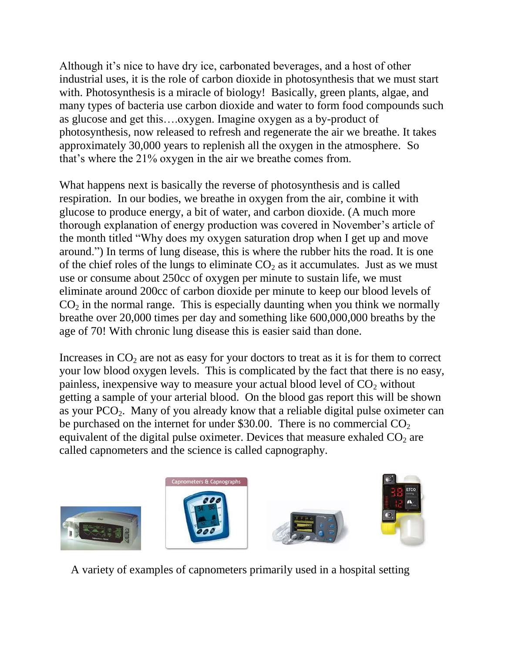Although it's nice to have dry ice, carbonated beverages, and a host of other industrial uses, it is the role of carbon dioxide in photosynthesis that we must start with. Photosynthesis is a miracle of biology! Basically, green plants, algae, and many types of bacteria use carbon dioxide and water to form food compounds such as glucose and get this….oxygen. Imagine oxygen as a by-product of photosynthesis, now released to refresh and regenerate the air we breathe. It takes approximately 30,000 years to replenish all the oxygen in the atmosphere. So that's where the 21% oxygen in the air we breathe comes from.

What happens next is basically the reverse of photosynthesis and is called respiration. In our bodies, we breathe in oxygen from the air, combine it with glucose to produce energy, a bit of water, and carbon dioxide. (A much more thorough explanation of energy production was covered in November's article of the month titled "Why does my oxygen saturation drop when I get up and move around.") In terms of lung disease, this is where the rubber hits the road. It is one of the chief roles of the lungs to eliminate  $CO<sub>2</sub>$  as it accumulates. Just as we must use or consume about 250cc of oxygen per minute to sustain life, we must eliminate around 200cc of carbon dioxide per minute to keep our blood levels of  $CO<sub>2</sub>$  in the normal range. This is especially daunting when you think we normally breathe over 20,000 times per day and something like 600,000,000 breaths by the age of 70! With chronic lung disease this is easier said than done.

Increases in  $CO<sub>2</sub>$  are not as easy for your doctors to treat as it is for them to correct your low blood oxygen levels. This is complicated by the fact that there is no easy, painless, inexpensive way to measure your actual blood level of  $CO<sub>2</sub>$  without getting a sample of your arterial blood. On the blood gas report this will be shown as your  $PCO<sub>2</sub>$ . Many of you already know that a reliable digital pulse oximeter can be purchased on the internet for under \$30.00. There is no commercial  $CO<sub>2</sub>$ equivalent of the digital pulse oximeter. Devices that measure exhaled  $CO<sub>2</sub>$  are called capnometers and the science is called capnography.



A variety of examples of capnometers primarily used in a hospital setting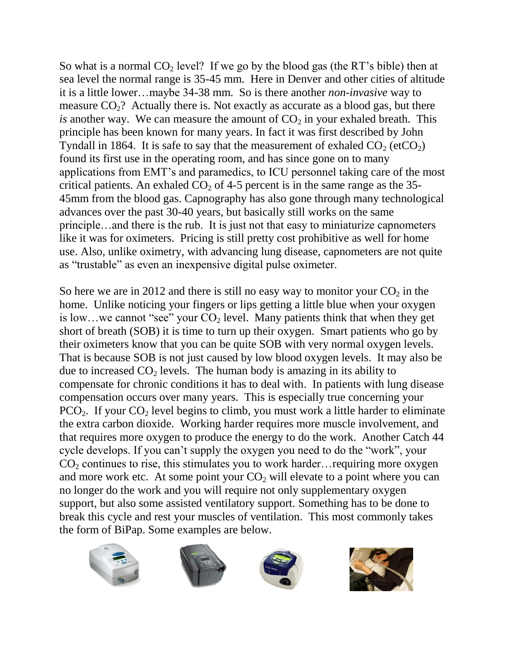So what is a normal  $CO<sub>2</sub>$  level? If we go by the blood gas (the RT's bible) then at sea level the normal range is 35-45 mm. Here in Denver and other cities of altitude it is a little lower…maybe 34-38 mm. So is there another *non-invasive* way to measure  $CO<sub>2</sub>$ ? Actually there is. Not exactly as accurate as a blood gas, but there *is* another way. We can measure the amount of  $CO<sub>2</sub>$  in your exhaled breath. This principle has been known for many years. In fact it was first described by John Tyndall in 1864. It is safe to say that the measurement of exhaled  $CO<sub>2</sub> (etcO<sub>2</sub>)$ found its first use in the operating room, and has since gone on to many applications from EMT's and paramedics, to ICU personnel taking care of the most critical patients. An exhaled  $CO<sub>2</sub>$  of 4-5 percent is in the same range as the 35-45mm from the blood gas. Capnography has also gone through many technological advances over the past 30-40 years, but basically still works on the same principle…and there is the rub. It is just not that easy to miniaturize capnometers like it was for oximeters. Pricing is still pretty cost prohibitive as well for home use. Also, unlike oximetry, with advancing lung disease, capnometers are not quite as "trustable" as even an inexpensive digital pulse oximeter.

So here we are in 2012 and there is still no easy way to monitor your  $CO<sub>2</sub>$  in the home. Unlike noticing your fingers or lips getting a little blue when your oxygen is low...we cannot "see" your  $CO<sub>2</sub>$  level. Many patients think that when they get short of breath (SOB) it is time to turn up their oxygen. Smart patients who go by their oximeters know that you can be quite SOB with very normal oxygen levels. That is because SOB is not just caused by low blood oxygen levels. It may also be due to increased  $CO<sub>2</sub>$  levels. The human body is amazing in its ability to compensate for chronic conditions it has to deal with. In patients with lung disease compensation occurs over many years. This is especially true concerning your  $PCO<sub>2</sub>$ . If your  $CO<sub>2</sub>$  level begins to climb, you must work a little harder to eliminate the extra carbon dioxide. Working harder requires more muscle involvement, and that requires more oxygen to produce the energy to do the work. Another Catch 44 cycle develops. If you can't supply the oxygen you need to do the "work", your  $CO<sub>2</sub>$  continues to rise, this stimulates you to work harder…requiring more oxygen and more work etc. At some point your  $CO<sub>2</sub>$  will elevate to a point where you can no longer do the work and you will require not only supplementary oxygen support, but also some assisted ventilatory support. Something has to be done to break this cycle and rest your muscles of ventilation. This most commonly takes the form of BiPap. Some examples are below.